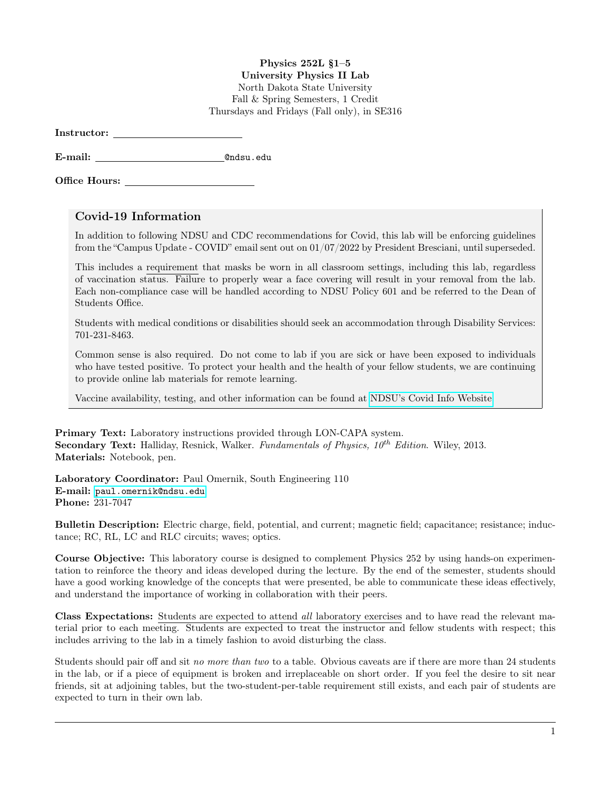## Physics 252L §1–5

University Physics II Lab North Dakota State University Fall & Spring Semesters, 1 Credit Thursdays and Fridays (Fall only), in SE316

E-mail: @ndsu.edu

Office Hours:

## Covid-19 Information

In addition to following NDSU and CDC recommendations for Covid, this lab will be enforcing guidelines from the "Campus Update - COVID" email sent out on 01/07/2022 by President Bresciani, until superseded.

This includes a requirement that masks be worn in all classroom settings, including this lab, regardless of vaccination status. Failure to properly wear a face covering will result in your removal from the lab. Each non-compliance case will be handled according to NDSU Policy 601 and be referred to the Dean of Students Office.

Students with medical conditions or disabilities should seek an accommodation through Disability Services: 701-231-8463.

Common sense is also required. Do not come to lab if you are sick or have been exposed to individuals who have tested positive. To protect your health and the health of your fellow students, we are continuing to provide online lab materials for remote learning.

Vaccine availability, testing, and other information can be found at [NDSU's Covid Info Website.](https://www.ndsu.edu/studenthealthservice/patient_resources/covid_19_information/)

Primary Text: Laboratory instructions provided through LON-CAPA system. **Secondary Text:** Halliday, Resnick, Walker. Fundamentals of Physics,  $10^{th}$  Edition. Wiley, 2013. Materials: Notebook, pen.

Laboratory Coordinator: Paul Omernik, South Engineering 110 E-mail: <paul.omernik@ndsu.edu> Phone: 231-7047

Bulletin Description: Electric charge, field, potential, and current; magnetic field; capacitance; resistance; inductance; RC, RL, LC and RLC circuits; waves; optics.

Course Objective: This laboratory course is designed to complement Physics 252 by using hands-on experimentation to reinforce the theory and ideas developed during the lecture. By the end of the semester, students should have a good working knowledge of the concepts that were presented, be able to communicate these ideas effectively, and understand the importance of working in collaboration with their peers.

Class Expectations: Students are expected to attend all laboratory exercises and to have read the relevant material prior to each meeting. Students are expected to treat the instructor and fellow students with respect; this includes arriving to the lab in a timely fashion to avoid disturbing the class.

Students should pair off and sit no more than two to a table. Obvious caveats are if there are more than 24 students in the lab, or if a piece of equipment is broken and irreplaceable on short order. If you feel the desire to sit near friends, sit at adjoining tables, but the two-student-per-table requirement still exists, and each pair of students are expected to turn in their own lab.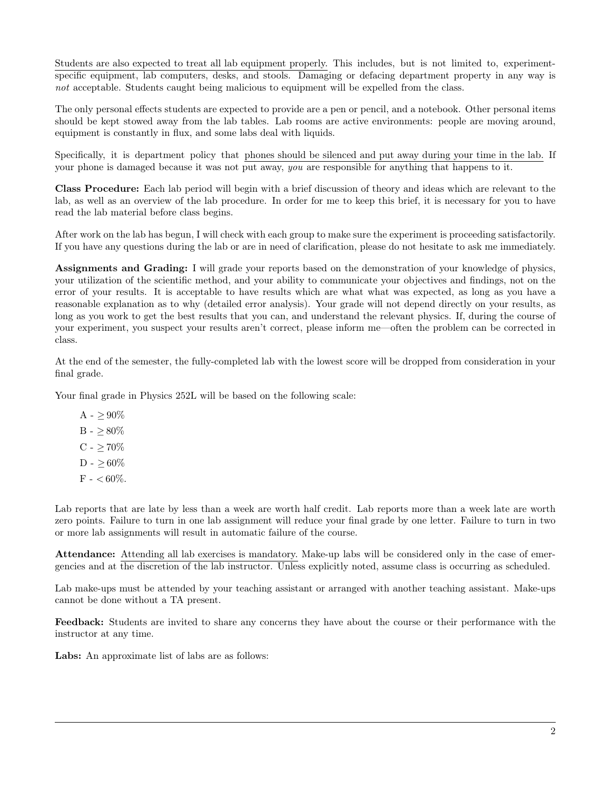Students are also expected to treat all lab equipment properly. This includes, but is not limited to, experimentspecific equipment, lab computers, desks, and stools. Damaging or defacing department property in any way is not acceptable. Students caught being malicious to equipment will be expelled from the class.

The only personal effects students are expected to provide are a pen or pencil, and a notebook. Other personal items should be kept stowed away from the lab tables. Lab rooms are active environments: people are moving around, equipment is constantly in flux, and some labs deal with liquids.

Specifically, it is department policy that phones should be silenced and put away during your time in the lab. If your phone is damaged because it was not put away, you are responsible for anything that happens to it.

Class Procedure: Each lab period will begin with a brief discussion of theory and ideas which are relevant to the lab, as well as an overview of the lab procedure. In order for me to keep this brief, it is necessary for you to have read the lab material before class begins.

After work on the lab has begun, I will check with each group to make sure the experiment is proceeding satisfactorily. If you have any questions during the lab or are in need of clarification, please do not hesitate to ask me immediately.

Assignments and Grading: I will grade your reports based on the demonstration of your knowledge of physics, your utilization of the scientific method, and your ability to communicate your objectives and findings, not on the error of your results. It is acceptable to have results which are what what was expected, as long as you have a reasonable explanation as to why (detailed error analysis). Your grade will not depend directly on your results, as long as you work to get the best results that you can, and understand the relevant physics. If, during the course of your experiment, you suspect your results aren't correct, please inform me—often the problem can be corrected in class.

At the end of the semester, the fully-completed lab with the lowest score will be dropped from consideration in your final grade.

Your final grade in Physics 252L will be based on the following scale:

 $A - \geq 90\%$ B -  $\geq 80\%$  $C - > 70\%$  $D - > 60\%$  $F -  $60\%$ .$ 

Lab reports that are late by less than a week are worth half credit. Lab reports more than a week late are worth zero points. Failure to turn in one lab assignment will reduce your final grade by one letter. Failure to turn in two or more lab assignments will result in automatic failure of the course.

Attendance: Attending all lab exercises is mandatory. Make-up labs will be considered only in the case of emergencies and at the discretion of the lab instructor. Unless explicitly noted, assume class is occurring as scheduled.

Lab make-ups must be attended by your teaching assistant or arranged with another teaching assistant. Make-ups cannot be done without a TA present.

Feedback: Students are invited to share any concerns they have about the course or their performance with the instructor at any time.

Labs: An approximate list of labs are as follows: